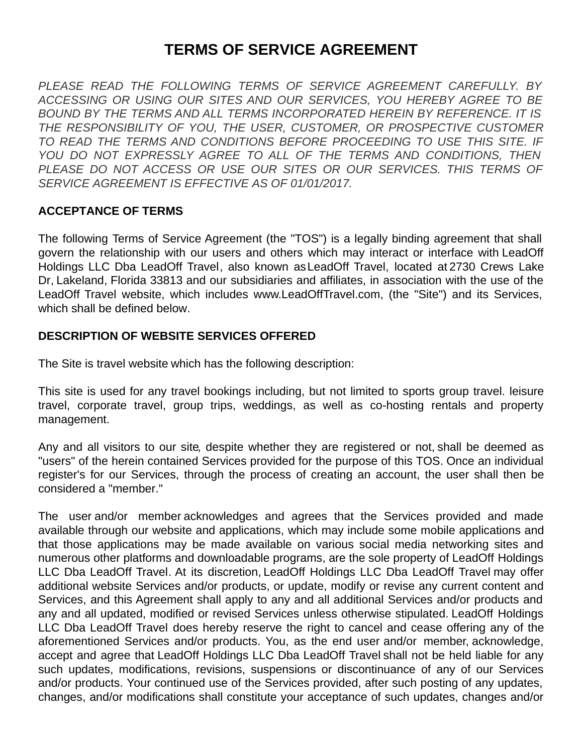# **TERMS OF SERVICE AGREEMENT**

*PLEASE READ THE FOLLOWING TERMS OF SERVICE AGREEMENT CAREFULLY. BY ACCESSING OR USING OUR SITES AND OUR SERVICES, YOU HEREBY AGREE TO BE BOUND BY THE TERMS AND ALL TERMS INCORPORATED HEREIN BY REFERENCE. IT IS THE RESPONSIBILITY OF YOU, THE USER, CUSTOMER, OR PROSPECTIVE CUSTOMER TO READ THE TERMS AND CONDITIONS BEFORE PROCEEDING TO USE THIS SITE. IF YOU DO NOT EXPRESSLY AGREE TO ALL OF THE TERMS AND CONDITIONS, THEN PLEASE DO NOT ACCESS OR USE OUR SITES OR OUR SERVICES. THIS TERMS OF SERVICE AGREEMENT IS EFFECTIVE AS OF 01/01/2017.*

#### **ACCEPTANCE OF TERMS**

The following Terms of Service Agreement (the "TOS") is a legally binding agreement that shall govern the relationship with our users and others which may interact or interface with LeadOff Holdings LLC Dba LeadOff Travel, also known asLeadOff Travel, located at 2730 Crews Lake Dr, Lakeland, Florida 33813 and our subsidiaries and affiliates, in association with the use of the LeadOff Travel website, which includes www.LeadOffTravel.com, (the "Site") and its Services, which shall be defined below.

#### **DESCRIPTION OF WEBSITE SERVICES OFFERED**

The Site is travel website which has the following description:

This site is used for any travel bookings including, but not limited to sports group travel. leisure travel, corporate travel, group trips, weddings, as well as co-hosting rentals and property management.

Any and all visitors to our site, despite whether they are registered or not, shall be deemed as "users" of the herein contained Services provided for the purpose of this TOS. Once an individual register's for our Services, through the process of creating an account, the user shall then be considered a "member."

The user and/or member acknowledges and agrees that the Services provided and made available through our website and applications, which may include some mobile applications and that those applications may be made available on various social media networking sites and numerous other platforms and downloadable programs, are the sole property of LeadOff Holdings LLC Dba LeadOff Travel. At its discretion, LeadOff Holdings LLC Dba LeadOff Travel may offer additional website Services and/or products, or update, modify or revise any current content and Services, and this Agreement shall apply to any and all additional Services and/or products and any and all updated, modified or revised Services unless otherwise stipulated. LeadOff Holdings LLC Dba LeadOff Travel does hereby reserve the right to cancel and cease offering any of the aforementioned Services and/or products. You, as the end user and/or member, acknowledge, accept and agree that LeadOff Holdings LLC Dba LeadOff Travel shall not be held liable for any such updates, modifications, revisions, suspensions or discontinuance of any of our Services and/or products. Your continued use of the Services provided, after such posting of any updates, changes, and/or modifications shall constitute your acceptance of such updates, changes and/or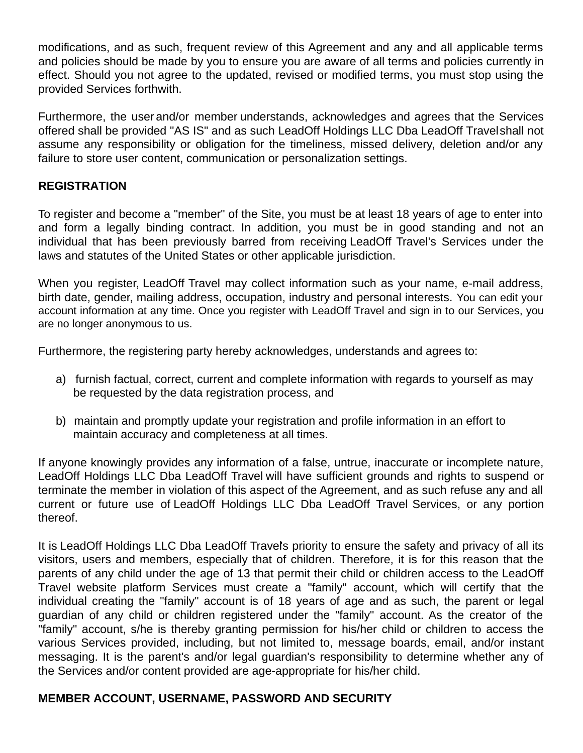modifications, and as such, frequent review of this Agreement and any and all applicable terms and policies should be made by you to ensure you are aware of all terms and policies currently in effect. Should you not agree to the updated, revised or modified terms, you must stop using the provided Services forthwith.

Furthermore, the user and/or member understands, acknowledges and agrees that the Services offered shall be provided "AS IS" and as such LeadOff Holdings LLC Dba LeadOff Travelshall not assume any responsibility or obligation for the timeliness, missed delivery, deletion and/or any failure to store user content, communication or personalization settings.

#### **REGISTRATION**

To register and become a "member" of the Site, you must be at least 18 years of age to enter into and form a legally binding contract. In addition, you must be in good standing and not an individual that has been previously barred from receiving LeadOff Travel's Services under the laws and statutes of the United States or other applicable jurisdiction.

When you register, LeadOff Travel may collect information such as your name, e-mail address, birth date, gender, mailing address, occupation, industry and personal interests. You can edit your account information at any time. Once you register with LeadOff Travel and sign in to our Services, you are no longer anonymous to us.

Furthermore, the registering party hereby acknowledges, understands and agrees to:

- a) furnish factual, correct, current and complete information with regards to yourself as may be requested by the data registration process, and
- b) maintain and promptly update your registration and profile information in an effort to maintain accuracy and completeness at all times.

If anyone knowingly provides any information of a false, untrue, inaccurate or incomplete nature, LeadOff Holdings LLC Dba LeadOff Travel will have sufficient grounds and rights to suspend or terminate the member in violation of this aspect of the Agreement, and as such refuse any and all current or future use of LeadOff Holdings LLC Dba LeadOff Travel Services, or any portion thereof.

It is LeadOff Holdings LLC Dba LeadOff Travels priority to ensure the safety and privacy of all its visitors, users and members, especially that of children. Therefore, it is for this reason that the parents of any child under the age of 13 that permit their child or children access to the LeadOff Travel website platform Services must create a "family" account, which will certify that the individual creating the "family" account is of 18 years of age and as such, the parent or legal guardian of any child or children registered under the "family" account. As the creator of the "family" account, s/he is thereby granting permission for his/her child or children to access the various Services provided, including, but not limited to, message boards, email, and/or instant messaging. It is the parent's and/or legal guardian's responsibility to determine whether any of the Services and/or content provided are age-appropriate for his/her child.

# **MEMBER ACCOUNT, USERNAME, PASSWORD AND SECURITY**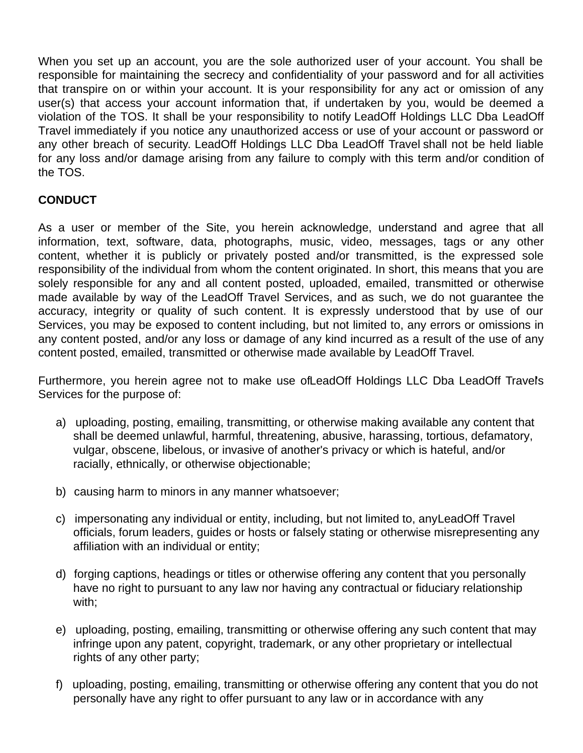When you set up an account, you are the sole authorized user of your account. You shall be responsible for maintaining the secrecy and confidentiality of your password and for all activities that transpire on or within your account. It is your responsibility for any act or omission of any user(s) that access your account information that, if undertaken by you, would be deemed a violation of the TOS. It shall be your responsibility to notify LeadOff Holdings LLC Dba LeadOff Travel immediately if you notice any unauthorized access or use of your account or password or any other breach of security. LeadOff Holdings LLC Dba LeadOff Travel shall not be held liable for any loss and/or damage arising from any failure to comply with this term and/or condition of the TOS.

# **CONDUCT**

As a user or member of the Site, you herein acknowledge, understand and agree that all information, text, software, data, photographs, music, video, messages, tags or any other content, whether it is publicly or privately posted and/or transmitted, is the expressed sole responsibility of the individual from whom the content originated. In short, this means that you are solely responsible for any and all content posted, uploaded, emailed, transmitted or otherwise made available by way of the LeadOff Travel Services, and as such, we do not guarantee the accuracy, integrity or quality of such content. It is expressly understood that by use of our Services, you may be exposed to content including, but not limited to, any errors or omissions in any content posted, and/or any loss or damage of any kind incurred as a result of the use of any content posted, emailed, transmitted or otherwise made available by LeadOff Travel.

Furthermore, you herein agree not to make use ofLeadOff Holdings LLC Dba LeadOff Travel's Services for the purpose of:

- a) uploading, posting, emailing, transmitting, or otherwise making available any content that shall be deemed unlawful, harmful, threatening, abusive, harassing, tortious, defamatory, vulgar, obscene, libelous, or invasive of another's privacy or which is hateful, and/or racially, ethnically, or otherwise objectionable;
- b) causing harm to minors in any manner whatsoever;
- c) impersonating any individual or entity, including, but not limited to, anyLeadOff Travel officials, forum leaders, guides or hosts or falsely stating or otherwise misrepresenting any affiliation with an individual or entity;
- d) forging captions, headings or titles or otherwise offering any content that you personally have no right to pursuant to any law nor having any contractual or fiduciary relationship with;
- e) uploading, posting, emailing, transmitting or otherwise offering any such content that may infringe upon any patent, copyright, trademark, or any other proprietary or intellectual rights of any other party;
- f) uploading, posting, emailing, transmitting or otherwise offering any content that you do not personally have any right to offer pursuant to any law or in accordance with any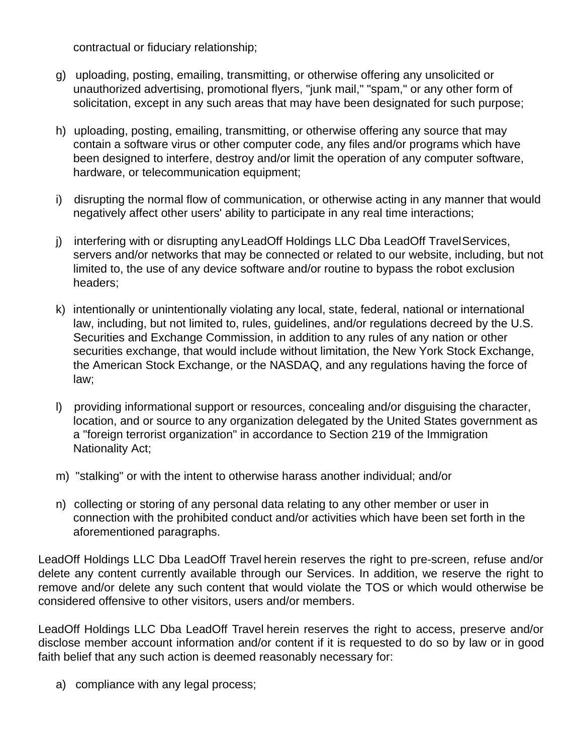contractual or fiduciary relationship;

- g) uploading, posting, emailing, transmitting, or otherwise offering any unsolicited or unauthorized advertising, promotional flyers, "junk mail," "spam," or any other form of solicitation, except in any such areas that may have been designated for such purpose;
- h) uploading, posting, emailing, transmitting, or otherwise offering any source that may contain a software virus or other computer code, any files and/or programs which have been designed to interfere, destroy and/or limit the operation of any computer software, hardware, or telecommunication equipment;
- i) disrupting the normal flow of communication, or otherwise acting in any manner that would negatively affect other users' ability to participate in any real time interactions;
- j) interfering with or disrupting anyLeadOff Holdings LLC Dba LeadOff TravelServices, servers and/or networks that may be connected or related to our website, including, but not limited to, the use of any device software and/or routine to bypass the robot exclusion headers;
- k) intentionally or unintentionally violating any local, state, federal, national or international law, including, but not limited to, rules, guidelines, and/or regulations decreed by the U.S. Securities and Exchange Commission, in addition to any rules of any nation or other securities exchange, that would include without limitation, the New York Stock Exchange, the American Stock Exchange, or the NASDAQ, and any regulations having the force of law;
- l) providing informational support or resources, concealing and/or disguising the character, location, and or source to any organization delegated by the United States government as a "foreign terrorist organization" in accordance to Section 219 of the Immigration Nationality Act;
- m) "stalking" or with the intent to otherwise harass another individual; and/or
- n) collecting or storing of any personal data relating to any other member or user in connection with the prohibited conduct and/or activities which have been set forth in the aforementioned paragraphs.

LeadOff Holdings LLC Dba LeadOff Travel herein reserves the right to pre-screen, refuse and/or delete any content currently available through our Services. In addition, we reserve the right to remove and/or delete any such content that would violate the TOS or which would otherwise be considered offensive to other visitors, users and/or members.

LeadOff Holdings LLC Dba LeadOff Travel herein reserves the right to access, preserve and/or disclose member account information and/or content if it is requested to do so by law or in good faith belief that any such action is deemed reasonably necessary for:

a) compliance with any legal process;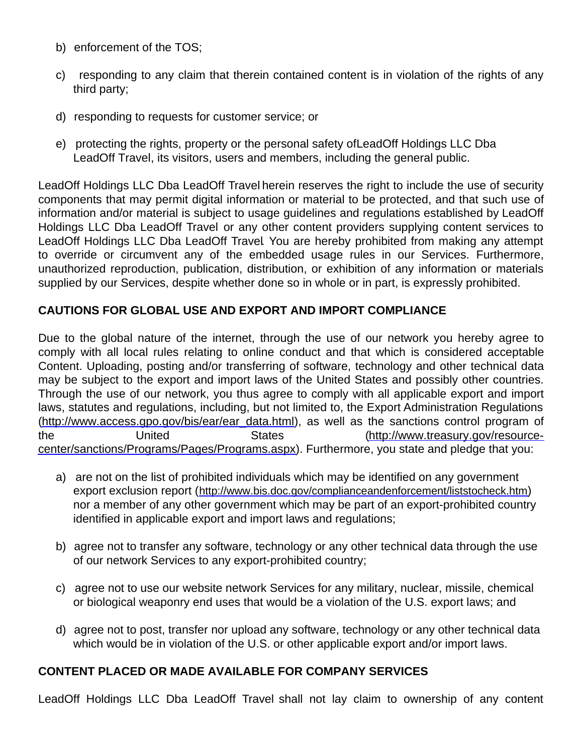- b) enforcement of the TOS;
- c) responding to any claim that therein contained content is in violation of the rights of any third party;
- d) responding to requests for customer service; or
- e) protecting the rights, property or the personal safety ofLeadOff Holdings LLC Dba LeadOff Travel, its visitors, users and members, including the general public.

LeadOff Holdings LLC Dba LeadOff Travel herein reserves the right to include the use of security components that may permit digital information or material to be protected, and that such use of information and/or material is subject to usage guidelines and regulations established by LeadOff Holdings LLC Dba LeadOff Travel or any other content providers supplying content services to LeadOff Holdings LLC Dba LeadOff Travel. You are hereby prohibited from making any attempt to override or circumvent any of the embedded usage rules in our Services. Furthermore, unauthorized reproduction, publication, distribution, or exhibition of any information or materials supplied by our Services, despite whether done so in whole or in part, is expressly prohibited.

#### **CAUTIONS FOR GLOBAL USE AND EXPORT AND IMPORT COMPLIANCE**

Due to the global nature of the internet, through the use of our network you hereby agree to comply with all local rules relating to online conduct and that which is considered acceptable Content. Uploading, posting and/or transferring of software, technology and other technical data may be subject to the export and import laws of the United States and possibly other countries. Through the use of our network, you thus agree to comply with all applicable export and import laws, statutes and regulations, including, but not limited to, the Export Administration Regulations [\(http://www.access.gpo.gov/bis/ear/ear\\_data.html](http://www.access.gpo.gov/bis/ear/ear_data.html)), as well as the sanctions control program of the United States (http://www.treasury.gov/resource[center/sanctions/Programs/Pages/Programs.aspx\).](http://www.treasury.gov/resource-center/sanctions/Programs/Pages/Programs.aspx) Furthermore, you state and pledge that you:

- a) are not on the list of prohibited individuals which may be identified on any government export exclusion report (<http://www.bis.doc.gov/complianceandenforcement/liststocheck.htm>) nor a member of any other government which may be part of an export-prohibited country identified in applicable export and import laws and regulations;
- b) agree not to transfer any software, technology or any other technical data through the use of our network Services to any export-prohibited country;
- c) agree not to use our website network Services for any military, nuclear, missile, chemical or biological weaponry end uses that would be a violation of the U.S. export laws; and
- d) agree not to post, transfer nor upload any software, technology or any other technical data which would be in violation of the U.S. or other applicable export and/or import laws.

# **CONTENT PLACED OR MADE AVAILABLE FOR COMPANY SERVICES**

LeadOff Holdings LLC Dba LeadOff Travel shall not lay claim to ownership of any content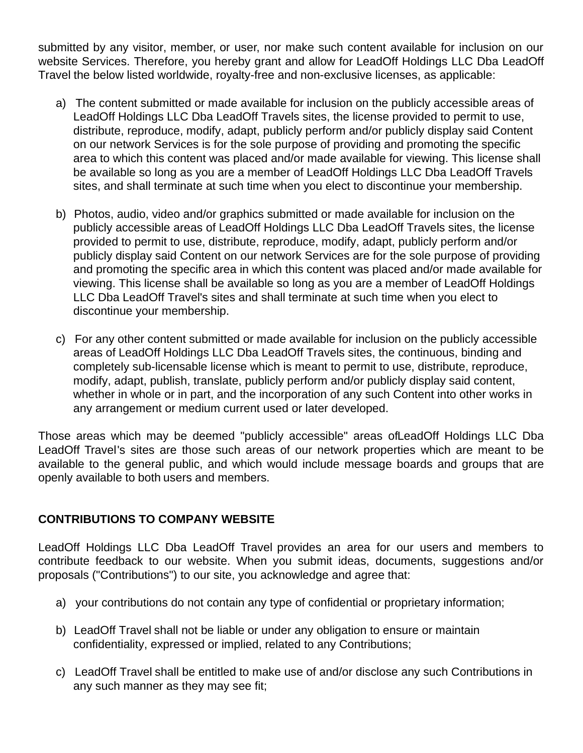submitted by any visitor, member, or user, nor make such content available for inclusion on our website Services. Therefore, you hereby grant and allow for LeadOff Holdings LLC Dba LeadOff Travel the below listed worldwide, royalty-free and non-exclusive licenses, as applicable:

- a) The content submitted or made available for inclusion on the publicly accessible areas of LeadOff Holdings LLC Dba LeadOff Travels sites, the license provided to permit to use, distribute, reproduce, modify, adapt, publicly perform and/or publicly display said Content on our network Services is for the sole purpose of providing and promoting the specific area to which this content was placed and/or made available for viewing. This license shall be available so long as you are a member of LeadOff Holdings LLC Dba LeadOff Travels sites, and shall terminate at such time when you elect to discontinue your membership.
- b) Photos, audio, video and/or graphics submitted or made available for inclusion on the publicly accessible areas of LeadOff Holdings LLC Dba LeadOff Travels sites, the license provided to permit to use, distribute, reproduce, modify, adapt, publicly perform and/or publicly display said Content on our network Services are for the sole purpose of providing and promoting the specific area in which this content was placed and/or made available for viewing. This license shall be available so long as you are a member of LeadOff Holdings LLC Dba LeadOff Travel's sites and shall terminate at such time when you elect to discontinue your membership.
- c) For any other content submitted or made available for inclusion on the publicly accessible areas of LeadOff Holdings LLC Dba LeadOff Travels sites, the continuous, binding and completely sub-licensable license which is meant to permit to use, distribute, reproduce, modify, adapt, publish, translate, publicly perform and/or publicly display said content, whether in whole or in part, and the incorporation of any such Content into other works in any arrangement or medium current used or later developed.

Those areas which may be deemed "publicly accessible" areas ofLeadOff Holdings LLC Dba LeadOff Travel's sites are those such areas of our network properties which are meant to be available to the general public, and which would include message boards and groups that are openly available to both users and members.

# **CONTRIBUTIONS TO COMPANY WEBSITE**

LeadOff Holdings LLC Dba LeadOff Travel provides an area for our users and members to contribute feedback to our website. When you submit ideas, documents, suggestions and/or proposals ("Contributions") to our site, you acknowledge and agree that:

- a) your contributions do not contain any type of confidential or proprietary information;
- b) LeadOff Travel shall not be liable or under any obligation to ensure or maintain confidentiality, expressed or implied, related to any Contributions;
- c) LeadOff Travel shall be entitled to make use of and/or disclose any such Contributions in any such manner as they may see fit;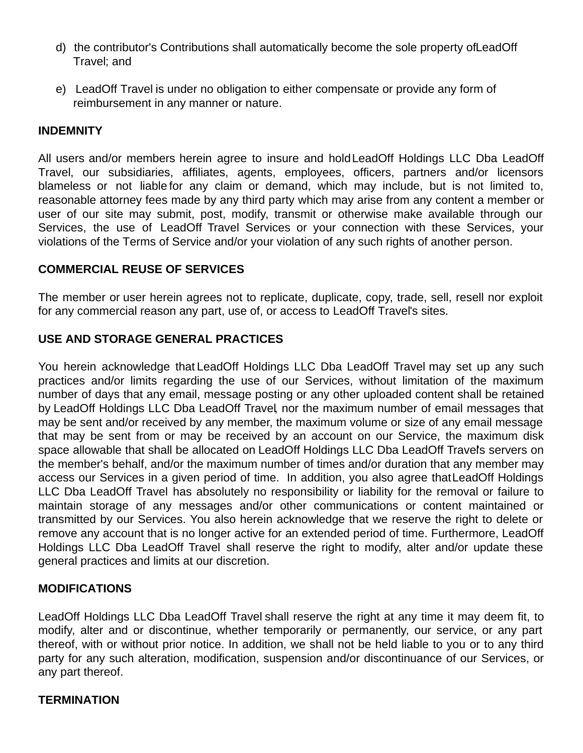- d) the contributor's Contributions shall automatically become the sole property ofLeadOff Travel; and
- e) LeadOff Travel is under no obligation to either compensate or provide any form of reimbursement in any manner or nature.

#### **INDEMNITY**

All users and/or members herein agree to insure and holdLeadOff Holdings LLC Dba LeadOff Travel, our subsidiaries, affiliates, agents, employees, officers, partners and/or licensors blameless or not liable for any claim or demand, which may include, but is not limited to, reasonable attorney fees made by any third party which may arise from any content a member or user of our site may submit, post, modify, transmit or otherwise make available through our Services, the use of LeadOff Travel Services or your connection with these Services, your violations of the Terms of Service and/or your violation of any such rights of another person.

#### **COMMERCIAL REUSE OF SERVICES**

The member or user herein agrees not to replicate, duplicate, copy, trade, sell, resell nor exploit for any commercial reason any part, use of, or access to LeadOff Travel's sites.

#### **USE AND STORAGE GENERAL PRACTICES**

You herein acknowledge that LeadOff Holdings LLC Dba LeadOff Travel may set up any such practices and/or limits regarding the use of our Services, without limitation of the maximum number of days that any email, message posting or any other uploaded content shall be retained by LeadOff Holdings LLC Dba LeadOff Travel, nor the maximum number of email messages that may be sent and/or received by any member, the maximum volume or size of any email message that may be sent from or may be received by an account on our Service, the maximum disk space allowable that shall be allocated on LeadOff Holdings LLC Dba LeadOff Travel's servers on the member's behalf, and/or the maximum number of times and/or duration that any member may access our Services in a given period of time. In addition, you also agree thatLeadOff Holdings LLC Dba LeadOff Travel has absolutely no responsibility or liability for the removal or failure to maintain storage of any messages and/or other communications or content maintained or transmitted by our Services. You also herein acknowledge that we reserve the right to delete or remove any account that is no longer active for an extended period of time. Furthermore, LeadOff Holdings LLC Dba LeadOff Travel shall reserve the right to modify, alter and/or update these general practices and limits at our discretion.

# **MODIFICATIONS**

LeadOff Holdings LLC Dba LeadOff Travel shall reserve the right at any time it may deem fit, to modify, alter and or discontinue, whether temporarily or permanently, our service, or any part thereof, with or without prior notice. In addition, we shall not be held liable to you or to any third party for any such alteration, modification, suspension and/or discontinuance of our Services, or any part thereof.

#### **TERMINATION**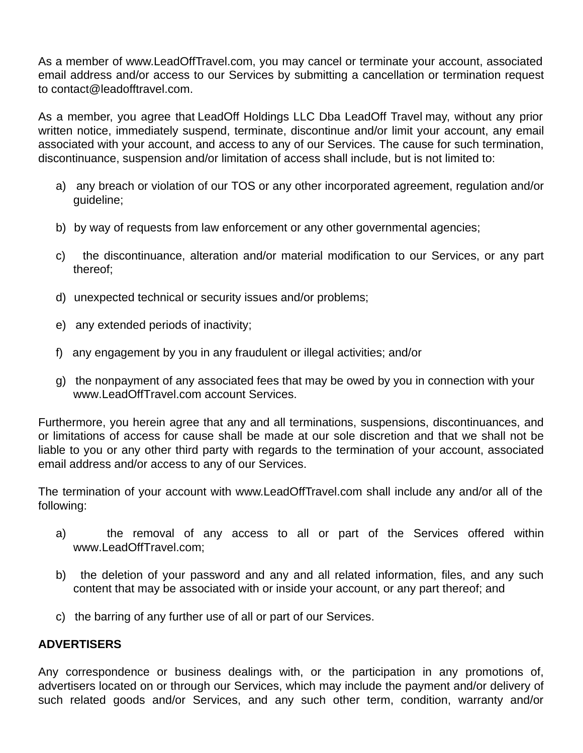As a member of www.LeadOffTravel.com, you may cancel or terminate your account, associated email address and/or access to our Services by submitting a cancellation or termination request to contact@leadofftravel.com.

As a member, you agree that LeadOff Holdings LLC Dba LeadOff Travel may, without any prior written notice, immediately suspend, terminate, discontinue and/or limit your account, any email associated with your account, and access to any of our Services. The cause for such termination, discontinuance, suspension and/or limitation of access shall include, but is not limited to:

- a) any breach or violation of our TOS or any other incorporated agreement, regulation and/or guideline;
- b) by way of requests from law enforcement or any other governmental agencies;
- c) the discontinuance, alteration and/or material modification to our Services, or any part thereof;
- d) unexpected technical or security issues and/or problems;
- e) any extended periods of inactivity;
- f) any engagement by you in any fraudulent or illegal activities; and/or
- g) the nonpayment of any associated fees that may be owed by you in connection with your www.LeadOffTravel.com account Services.

Furthermore, you herein agree that any and all terminations, suspensions, discontinuances, and or limitations of access for cause shall be made at our sole discretion and that we shall not be liable to you or any other third party with regards to the termination of your account, associated email address and/or access to any of our Services.

The termination of your account with www.LeadOffTravel.com shall include any and/or all of the following:

- a) the removal of any access to all or part of the Services offered within www.LeadOffTravel.com;
- b) the deletion of your password and any and all related information, files, and any such content that may be associated with or inside your account, or any part thereof; and
- c) the barring of any further use of all or part of our Services.

# **ADVERTISERS**

Any correspondence or business dealings with, or the participation in any promotions of, advertisers located on or through our Services, which may include the payment and/or delivery of such related goods and/or Services, and any such other term, condition, warranty and/or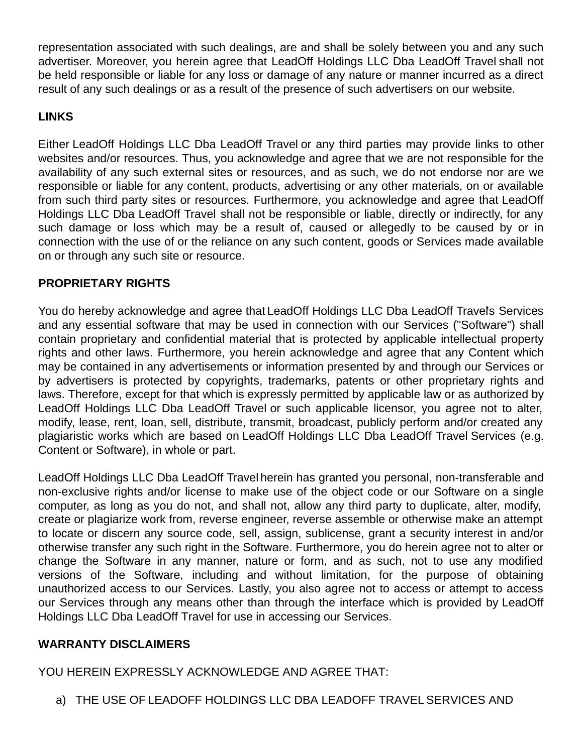representation associated with such dealings, are and shall be solely between you and any such advertiser. Moreover, you herein agree that LeadOff Holdings LLC Dba LeadOff Travel shall not be held responsible or liable for any loss or damage of any nature or manner incurred as a direct result of any such dealings or as a result of the presence of such advertisers on our website.

# **LINKS**

Either LeadOff Holdings LLC Dba LeadOff Travel or any third parties may provide links to other websites and/or resources. Thus, you acknowledge and agree that we are not responsible for the availability of any such external sites or resources, and as such, we do not endorse nor are we responsible or liable for any content, products, advertising or any other materials, on or available from such third party sites or resources. Furthermore, you acknowledge and agree that LeadOff Holdings LLC Dba LeadOff Travel shall not be responsible or liable, directly or indirectly, for any such damage or loss which may be a result of, caused or allegedly to be caused by or in connection with the use of or the reliance on any such content, goods or Services made available on or through any such site or resource.

# **PROPRIETARY RIGHTS**

You do hereby acknowledge and agree that LeadOff Holdings LLC Dba LeadOff Travel's Services and any essential software that may be used in connection with our Services ("Software") shall contain proprietary and confidential material that is protected by applicable intellectual property rights and other laws. Furthermore, you herein acknowledge and agree that any Content which may be contained in any advertisements or information presented by and through our Services or by advertisers is protected by copyrights, trademarks, patents or other proprietary rights and laws. Therefore, except for that which is expressly permitted by applicable law or as authorized by LeadOff Holdings LLC Dba LeadOff Travel or such applicable licensor, you agree not to alter, modify, lease, rent, loan, sell, distribute, transmit, broadcast, publicly perform and/or created any plagiaristic works which are based on LeadOff Holdings LLC Dba LeadOff Travel Services (e.g. Content or Software), in whole or part.

LeadOff Holdings LLC Dba LeadOff Travel herein has granted you personal, non-transferable and non-exclusive rights and/or license to make use of the object code or our Software on a single computer, as long as you do not, and shall not, allow any third party to duplicate, alter, modify, create or plagiarize work from, reverse engineer, reverse assemble or otherwise make an attempt to locate or discern any source code, sell, assign, sublicense, grant a security interest in and/or otherwise transfer any such right in the Software. Furthermore, you do herein agree not to alter or change the Software in any manner, nature or form, and as such, not to use any modified versions of the Software, including and without limitation, for the purpose of obtaining unauthorized access to our Services. Lastly, you also agree not to access or attempt to access our Services through any means other than through the interface which is provided by LeadOff Holdings LLC Dba LeadOff Travel for use in accessing our Services.

# **WARRANTY DISCLAIMERS**

YOU HEREIN EXPRESSLY ACKNOWLEDGE AND AGREE THAT:

a) THE USE OF LEADOFF HOLDINGS LLC DBA LEADOFF TRAVEL SERVICES AND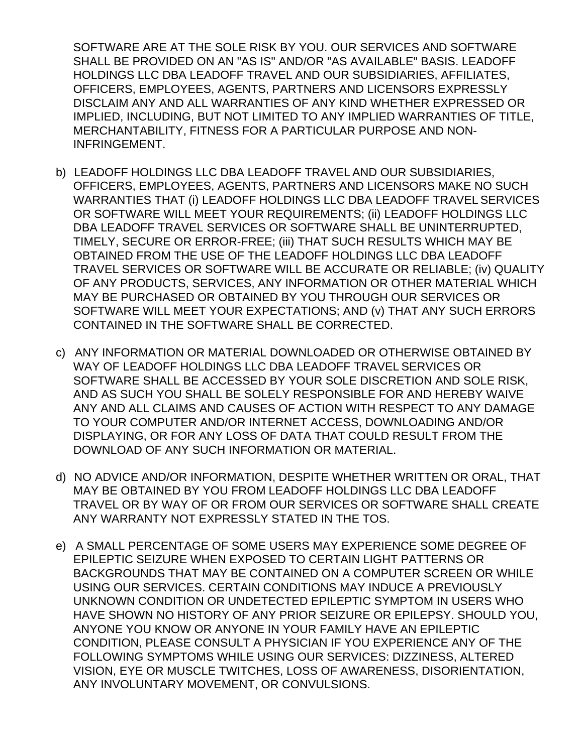SOFTWARE ARE AT THE SOLE RISK BY YOU. OUR SERVICES AND SOFTWARE SHALL BE PROVIDED ON AN "AS IS" AND/OR "AS AVAILABLE" BASIS. LEADOFF HOLDINGS LLC DBA LEADOFF TRAVEL AND OUR SUBSIDIARIES, AFFILIATES, OFFICERS, EMPLOYEES, AGENTS, PARTNERS AND LICENSORS EXPRESSLY DISCLAIM ANY AND ALL WARRANTIES OF ANY KIND WHETHER EXPRESSED OR IMPLIED, INCLUDING, BUT NOT LIMITED TO ANY IMPLIED WARRANTIES OF TITLE, MERCHANTABILITY, FITNESS FOR A PARTICULAR PURPOSE AND NON-INFRINGEMENT.

- b) LEADOFF HOLDINGS LLC DBA LEADOFF TRAVEL AND OUR SUBSIDIARIES, OFFICERS, EMPLOYEES, AGENTS, PARTNERS AND LICENSORS MAKE NO SUCH WARRANTIES THAT (i) LEADOFF HOLDINGS LLC DBA LEADOFF TRAVEL SERVICES OR SOFTWARE WILL MEET YOUR REQUIREMENTS; (ii) LEADOFF HOLDINGS LLC DBA LEADOFF TRAVEL SERVICES OR SOFTWARE SHALL BE UNINTERRUPTED, TIMELY, SECURE OR ERROR-FREE; (iii) THAT SUCH RESULTS WHICH MAY BE OBTAINED FROM THE USE OF THE LEADOFF HOLDINGS LLC DBA LEADOFF TRAVEL SERVICES OR SOFTWARE WILL BE ACCURATE OR RELIABLE; (iv) QUALITY OF ANY PRODUCTS, SERVICES, ANY INFORMATION OR OTHER MATERIAL WHICH MAY BE PURCHASED OR OBTAINED BY YOU THROUGH OUR SERVICES OR SOFTWARE WILL MEET YOUR EXPECTATIONS; AND (v) THAT ANY SUCH ERRORS CONTAINED IN THE SOFTWARE SHALL BE CORRECTED.
- c) ANY INFORMATION OR MATERIAL DOWNLOADED OR OTHERWISE OBTAINED BY WAY OF LEADOFF HOLDINGS LLC DBA LEADOFF TRAVEL SERVICES OR SOFTWARE SHALL BE ACCESSED BY YOUR SOLE DISCRETION AND SOLE RISK, AND AS SUCH YOU SHALL BE SOLELY RESPONSIBLE FOR AND HEREBY WAIVE ANY AND ALL CLAIMS AND CAUSES OF ACTION WITH RESPECT TO ANY DAMAGE TO YOUR COMPUTER AND/OR INTERNET ACCESS, DOWNLOADING AND/OR DISPLAYING, OR FOR ANY LOSS OF DATA THAT COULD RESULT FROM THE DOWNLOAD OF ANY SUCH INFORMATION OR MATERIAL.
- d) NO ADVICE AND/OR INFORMATION, DESPITE WHETHER WRITTEN OR ORAL, THAT MAY BE OBTAINED BY YOU FROM LEADOFF HOLDINGS LLC DBA LEADOFF TRAVEL OR BY WAY OF OR FROM OUR SERVICES OR SOFTWARE SHALL CREATE ANY WARRANTY NOT EXPRESSLY STATED IN THE TOS.
- e) A SMALL PERCENTAGE OF SOME USERS MAY EXPERIENCE SOME DEGREE OF EPILEPTIC SEIZURE WHEN EXPOSED TO CERTAIN LIGHT PATTERNS OR BACKGROUNDS THAT MAY BE CONTAINED ON A COMPUTER SCREEN OR WHILE USING OUR SERVICES. CERTAIN CONDITIONS MAY INDUCE A PREVIOUSLY UNKNOWN CONDITION OR UNDETECTED EPILEPTIC SYMPTOM IN USERS WHO HAVE SHOWN NO HISTORY OF ANY PRIOR SEIZURE OR EPILEPSY. SHOULD YOU, ANYONE YOU KNOW OR ANYONE IN YOUR FAMILY HAVE AN EPILEPTIC CONDITION, PLEASE CONSULT A PHYSICIAN IF YOU EXPERIENCE ANY OF THE FOLLOWING SYMPTOMS WHILE USING OUR SERVICES: DIZZINESS, ALTERED VISION, EYE OR MUSCLE TWITCHES, LOSS OF AWARENESS, DISORIENTATION, ANY INVOLUNTARY MOVEMENT, OR CONVULSIONS.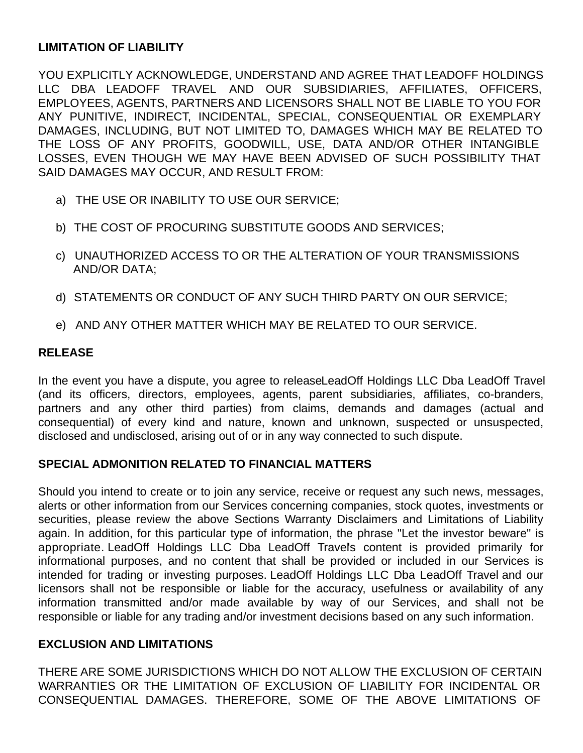#### **LIMITATION OF LIABILITY**

YOU EXPLICITLY ACKNOWLEDGE, UNDERSTAND AND AGREE THAT LEADOFF HOLDINGS LLC DBA LEADOFF TRAVEL AND OUR SUBSIDIARIES, AFFILIATES, OFFICERS, EMPLOYEES, AGENTS, PARTNERS AND LICENSORS SHALL NOT BE LIABLE TO YOU FOR ANY PUNITIVE, INDIRECT, INCIDENTAL, SPECIAL, CONSEQUENTIAL OR EXEMPLARY DAMAGES, INCLUDING, BUT NOT LIMITED TO, DAMAGES WHICH MAY BE RELATED TO THE LOSS OF ANY PROFITS, GOODWILL, USE, DATA AND/OR OTHER INTANGIBLE LOSSES, EVEN THOUGH WE MAY HAVE BEEN ADVISED OF SUCH POSSIBILITY THAT SAID DAMAGES MAY OCCUR, AND RESULT FROM:

- a) THE USE OR INABILITY TO USE OUR SERVICE;
- b) THE COST OF PROCURING SUBSTITUTE GOODS AND SERVICES;
- c) UNAUTHORIZED ACCESS TO OR THE ALTERATION OF YOUR TRANSMISSIONS AND/OR DATA;
- d) STATEMENTS OR CONDUCT OF ANY SUCH THIRD PARTY ON OUR SERVICE;
- e) AND ANY OTHER MATTER WHICH MAY BE RELATED TO OUR SERVICE.

# **RELEASE**

In the event you have a dispute, you agree to releaseLeadOff Holdings LLC Dba LeadOff Travel (and its officers, directors, employees, agents, parent subsidiaries, affiliates, co-branders, partners and any other third parties) from claims, demands and damages (actual and consequential) of every kind and nature, known and unknown, suspected or unsuspected, disclosed and undisclosed, arising out of or in any way connected to such dispute.

# **SPECIAL ADMONITION RELATED TO FINANCIAL MATTERS**

Should you intend to create or to join any service, receive or request any such news, messages, alerts or other information from our Services concerning companies, stock quotes, investments or securities, please review the above Sections Warranty Disclaimers and Limitations of Liability again. In addition, for this particular type of information, the phrase "Let the investor beware" is appropriate. LeadOff Holdings LLC Dba LeadOff Travel's content is provided primarily for informational purposes, and no content that shall be provided or included in our Services is intended for trading or investing purposes. LeadOff Holdings LLC Dba LeadOff Travel and our licensors shall not be responsible or liable for the accuracy, usefulness or availability of any information transmitted and/or made available by way of our Services, and shall not be responsible or liable for any trading and/or investment decisions based on any such information.

# **EXCLUSION AND LIMITATIONS**

THERE ARE SOME JURISDICTIONS WHICH DO NOT ALLOW THE EXCLUSION OF CERTAIN WARRANTIES OR THE LIMITATION OF EXCLUSION OF LIABILITY FOR INCIDENTAL OR CONSEQUENTIAL DAMAGES. THEREFORE, SOME OF THE ABOVE LIMITATIONS OF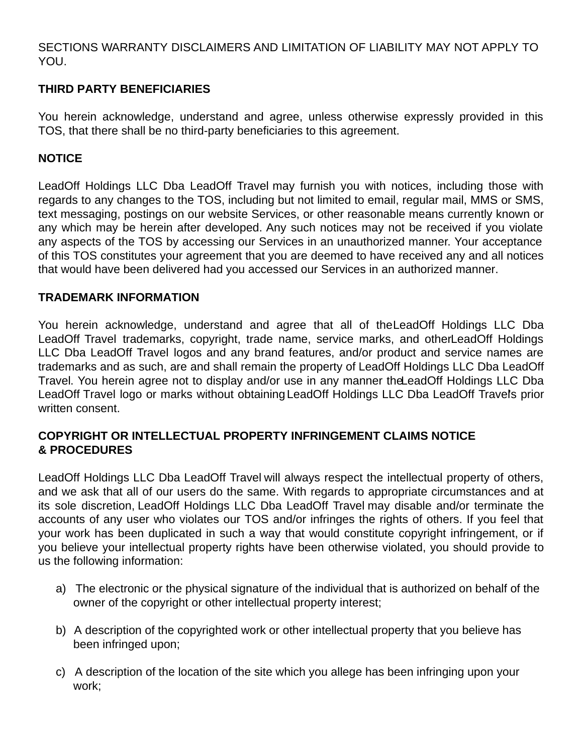SECTIONS WARRANTY DISCLAIMERS AND LIMITATION OF LIABILITY MAY NOT APPLY TO YOU.

# **THIRD PARTY BENEFICIARIES**

You herein acknowledge, understand and agree, unless otherwise expressly provided in this TOS, that there shall be no third-party beneficiaries to this agreement.

# **NOTICE**

LeadOff Holdings LLC Dba LeadOff Travel may furnish you with notices, including those with regards to any changes to the TOS, including but not limited to email, regular mail, MMS or SMS, text messaging, postings on our website Services, or other reasonable means currently known or any which may be herein after developed. Any such notices may not be received if you violate any aspects of the TOS by accessing our Services in an unauthorized manner. Your acceptance of this TOS constitutes your agreement that you are deemed to have received any and all notices that would have been delivered had you accessed our Services in an authorized manner.

#### **TRADEMARK INFORMATION**

You herein acknowledge, understand and agree that all of theLeadOff Holdings LLC Dba LeadOff Travel trademarks, copyright, trade name, service marks, and otherLeadOff Holdings LLC Dba LeadOff Travel logos and any brand features, and/or product and service names are trademarks and as such, are and shall remain the property of LeadOff Holdings LLC Dba LeadOff Travel. You herein agree not to display and/or use in any manner theLeadOff Holdings LLC Dba LeadOff Travel logo or marks without obtaining LeadOff Holdings LLC Dba LeadOff Travel's prior written consent.

# **COPYRIGHT OR INTELLECTUAL PROPERTY INFRINGEMENT CLAIMS NOTICE & PROCEDURES**

LeadOff Holdings LLC Dba LeadOff Travel will always respect the intellectual property of others, and we ask that all of our users do the same. With regards to appropriate circumstances and at its sole discretion, LeadOff Holdings LLC Dba LeadOff Travel may disable and/or terminate the accounts of any user who violates our TOS and/or infringes the rights of others. If you feel that your work has been duplicated in such a way that would constitute copyright infringement, or if you believe your intellectual property rights have been otherwise violated, you should provide to us the following information:

- a) The electronic or the physical signature of the individual that is authorized on behalf of the owner of the copyright or other intellectual property interest;
- b) A description of the copyrighted work or other intellectual property that you believe has been infringed upon;
- c) A description of the location of the site which you allege has been infringing upon your work;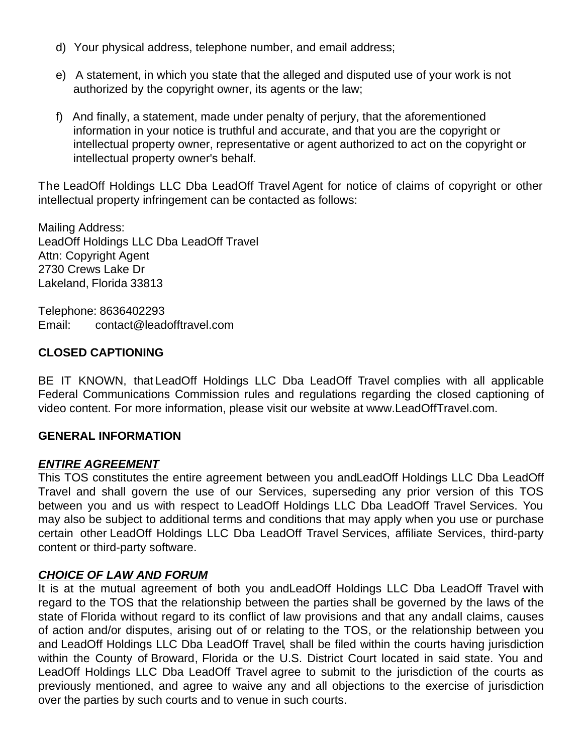- d) Your physical address, telephone number, and email address;
- e) A statement, in which you state that the alleged and disputed use of your work is not authorized by the copyright owner, its agents or the law;
- f) And finally, a statement, made under penalty of perjury, that the aforementioned information in your notice is truthful and accurate, and that you are the copyright or intellectual property owner, representative or agent authorized to act on the copyright or intellectual property owner's behalf.

The LeadOff Holdings LLC Dba LeadOff Travel Agent for notice of claims of copyright or other intellectual property infringement can be contacted as follows:

Mailing Address: LeadOff Holdings LLC Dba LeadOff Travel Attn: Copyright Agent 2730 Crews Lake Dr Lakeland, Florida 33813

Telephone: 8636402293 Email: contact@leadofftravel.com

# **CLOSED CAPTIONING**

BE IT KNOWN, that LeadOff Holdings LLC Dba LeadOff Travel complies with all applicable Federal Communications Commission rules and regulations regarding the closed captioning of video content. For more information, please visit our website at www.LeadOffTravel.com.

# **GENERAL INFORMATION**

# *ENTIRE AGREEMENT*

This TOS constitutes the entire agreement between you andLeadOff Holdings LLC Dba LeadOff Travel and shall govern the use of our Services, superseding any prior version of this TOS between you and us with respect to LeadOff Holdings LLC Dba LeadOff Travel Services. You may also be subject to additional terms and conditions that may apply when you use or purchase certain other LeadOff Holdings LLC Dba LeadOff Travel Services, affiliate Services, third-party content or third-party software.

# *CHOICE OF LAW AND FORUM*

It is at the mutual agreement of both you andLeadOff Holdings LLC Dba LeadOff Travel with regard to the TOS that the relationship between the parties shall be governed by the laws of the state of Florida without regard to its conflict of law provisions and that any andall claims, causes of action and/or disputes, arising out of or relating to the TOS, or the relationship between you and LeadOff Holdings LLC Dba LeadOff Travel, shall be filed within the courts having jurisdiction within the County of Broward, Florida or the U.S. District Court located in said state. You and LeadOff Holdings LLC Dba LeadOff Travel agree to submit to the jurisdiction of the courts as previously mentioned, and agree to waive any and all objections to the exercise of jurisdiction over the parties by such courts and to venue in such courts.